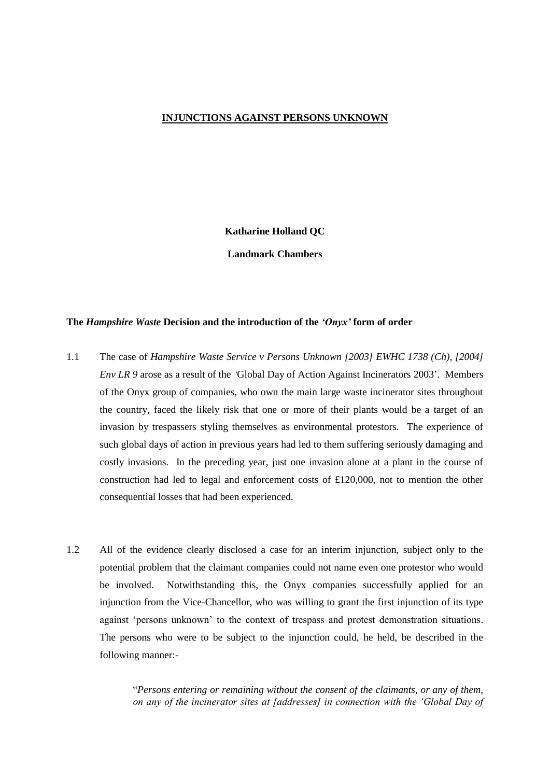## **INJUNCTIONS AGAINST PERSONS UNKNOWN**

# **Katharine Holland QC**

**Landmark Chambers**

## **The** *Hampshire Waste* **Decision and the introduction of the** *'Onyx'* **form of order**

- 1.1 The case of *Hampshire Waste Service v Persons Unknown [2003] EWHC 1738 (Ch), [2004] Env LR 9* arose as a result of the *"*Global Day of Action Against Incinerators 2003". Members of the Onyx group of companies, who own the main large waste incinerator sites throughout the country, faced the likely risk that one or more of their plants would be a target of an invasion by trespassers styling themselves as environmental protestors. The experience of such global days of action in previous years had led to them suffering seriously damaging and costly invasions. In the preceding year, just one invasion alone at a plant in the course of construction had led to legal and enforcement costs of £120,000, not to mention the other consequential losses that had been experienced.
- 1.2 All of the evidence clearly disclosed a case for an interim injunction, subject only to the potential problem that the claimant companies could not name even one protestor who would be involved. Notwithstanding this, the Onyx companies successfully applied for an injunction from the Vice-Chancellor, who was willing to grant the first injunction of its type against "persons unknown" to the context of trespass and protest demonstration situations. The persons who were to be subject to the injunction could, he held, be described in the following manner:-

"*Persons entering or remaining without the consent of the claimants, or any of them, on any of the incinerator sites at [addresses] in connection with the "Global Day of*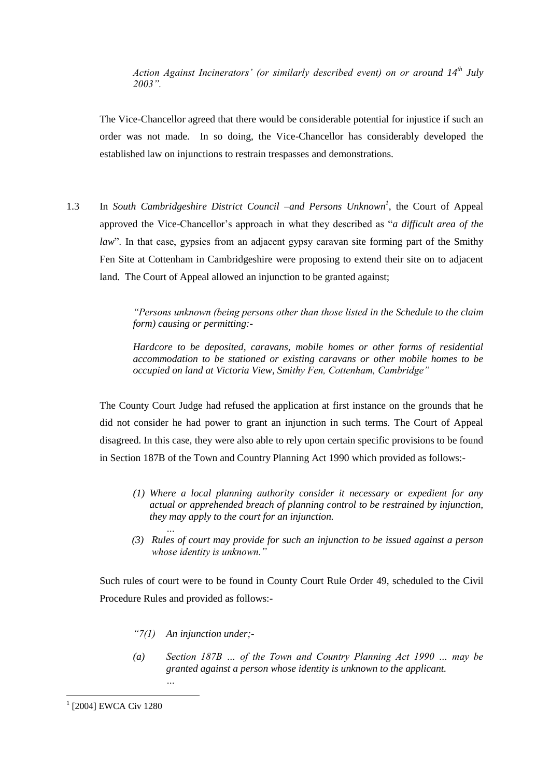*Action Against Incinerators" (or similarly described event) on or around 14th July 2003".*

The Vice-Chancellor agreed that there would be considerable potential for injustice if such an order was not made. In so doing, the Vice-Chancellor has considerably developed the established law on injunctions to restrain trespasses and demonstrations.

1.3 In *South Cambridgeshire District Council –and Persons Unknown<sup>1</sup>, the Court of Appeal* approved the Vice-Chancellor"s approach in what they described as "*a difficult area of the law*". In that case, gypsies from an adjacent gypsy caravan site forming part of the Smithy Fen Site at Cottenham in Cambridgeshire were proposing to extend their site on to adjacent land. The Court of Appeal allowed an injunction to be granted against;

> *"Persons unknown (being persons other than those listed in the Schedule to the claim form) causing or permitting:-*

> *Hardcore to be deposited, caravans, mobile homes or other forms of residential accommodation to be stationed or existing caravans or other mobile homes to be occupied on land at Victoria View, Smithy Fen, Cottenham, Cambridge"*

The County Court Judge had refused the application at first instance on the grounds that he did not consider he had power to grant an injunction in such terms. The Court of Appeal disagreed. In this case, they were also able to rely upon certain specific provisions to be found in Section 187B of the Town and Country Planning Act 1990 which provided as follows:-

- *(1) Where a local planning authority consider it necessary or expedient for any actual or apprehended breach of planning control to be restrained by injunction, they may apply to the court for an injunction.*
- *(3) Rules of court may provide for such an injunction to be issued against a person whose identity is unknown."*

Such rules of court were to be found in County Court Rule Order 49, scheduled to the Civil Procedure Rules and provided as follows:-

*"7(1) An injunction under;-*

*…*

*…*

*(a) Section 187B … of the Town and Country Planning Act 1990 … may be granted against a person whose identity is unknown to the applicant.*

**.** 

<sup>1</sup> [2004] EWCA Civ 1280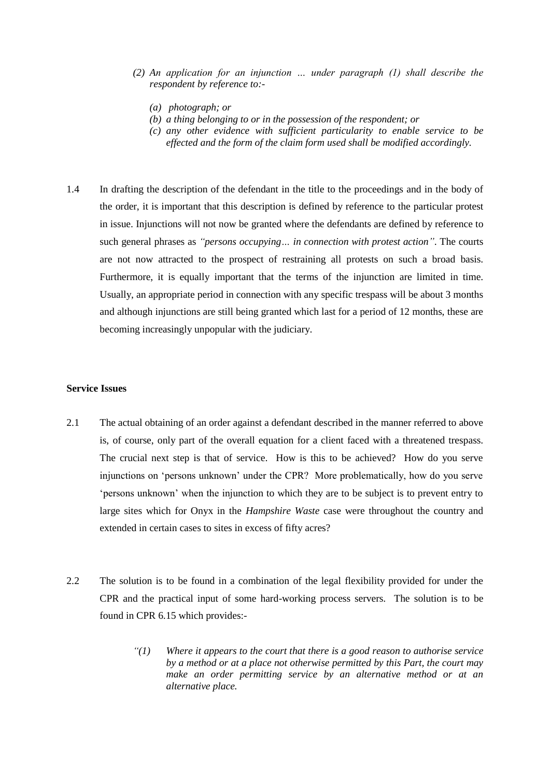- *(2) An application for an injunction … under paragraph (1) shall describe the respondent by reference to:-*
	- *(a) photograph; or*
	- *(b) a thing belonging to or in the possession of the respondent; or*
	- *(c) any other evidence with sufficient particularity to enable service to be effected and the form of the claim form used shall be modified accordingly.*
- 1.4 In drafting the description of the defendant in the title to the proceedings and in the body of the order, it is important that this description is defined by reference to the particular protest in issue. Injunctions will not now be granted where the defendants are defined by reference to such general phrases as *"persons occupying… in connection with protest action"*. The courts are not now attracted to the prospect of restraining all protests on such a broad basis. Furthermore, it is equally important that the terms of the injunction are limited in time. Usually, an appropriate period in connection with any specific trespass will be about 3 months and although injunctions are still being granted which last for a period of 12 months, these are becoming increasingly unpopular with the judiciary.

#### **Service Issues**

- 2.1 The actual obtaining of an order against a defendant described in the manner referred to above is, of course, only part of the overall equation for a client faced with a threatened trespass. The crucial next step is that of service. How is this to be achieved? How do you serve injunctions on "persons unknown" under the CPR? More problematically, how do you serve "persons unknown" when the injunction to which they are to be subject is to prevent entry to large sites which for Onyx in the *Hampshire Waste* case were throughout the country and extended in certain cases to sites in excess of fifty acres?
- 2.2 The solution is to be found in a combination of the legal flexibility provided for under the CPR and the practical input of some hard-working process servers. The solution is to be found in CPR 6.15 which provides:-
	- *"(1) Where it appears to the court that there is a good reason to authorise service by a method or at a place not otherwise permitted by this Part, the court may make an order permitting service by an alternative method or at an alternative place.*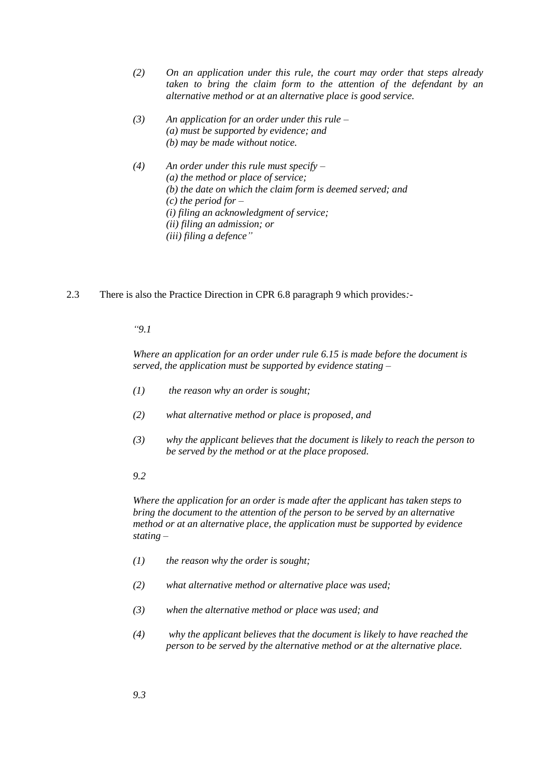- *(2) On an application under this rule, the court may order that steps already taken to bring the claim form to the attention of the defendant by an alternative method or at an alternative place is good service.*
- *(3) An application for an order under this rule – (a) must be supported by evidence; and (b) may be made without notice.*
- *(4) An order under this rule must specify – (a) the method or place of service; (b) the date on which the claim form is deemed served; and (c) the period for – (i) filing an acknowledgment of service; (ii) filing an admission; or (iii) filing a defence"*
- 2.3 There is also the Practice Direction in CPR 6.8 paragraph 9 which provides*:*-

### *"9.1*

*Where an application for an order under rule 6.15 is made before the document is served, the application must be supported by evidence stating –*

- *(1) the reason why an order is sought;*
- *(2) what alternative method or place is proposed, and*
- *(3) why the applicant believes that the document is likely to reach the person to be served by the method or at the place proposed.*
- *9.2*

*Where the application for an order is made after the applicant has taken steps to bring the document to the attention of the person to be served by an alternative method or at an alternative place, the application must be supported by evidence stating –*

- *(1) the reason why the order is sought;*
- *(2) what alternative method or alternative place was used;*
- *(3) when the alternative method or place was used; and*
- *(4) why the applicant believes that the document is likely to have reached the person to be served by the alternative method or at the alternative place.*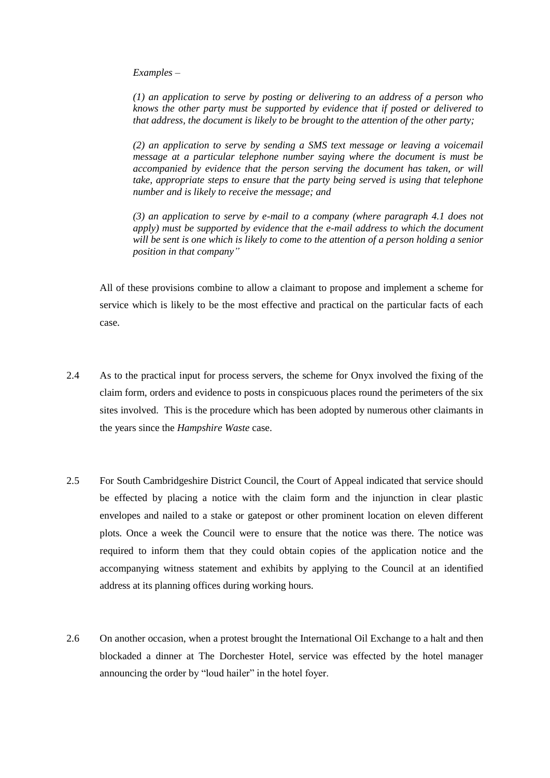*Examples –*

*(1) an application to serve by posting or delivering to an address of a person who knows the other party must be supported by evidence that if posted or delivered to that address, the document is likely to be brought to the attention of the other party;*

*(2) an application to serve by sending a SMS text message or leaving a voicemail message at a particular telephone number saying where the document is must be accompanied by evidence that the person serving the document has taken, or will take, appropriate steps to ensure that the party being served is using that telephone number and is likely to receive the message; and*

*(3) an application to serve by e-mail to a company (where paragraph 4.1 does not apply) must be supported by evidence that the e-mail address to which the document will be sent is one which is likely to come to the attention of a person holding a senior position in that company"*

All of these provisions combine to allow a claimant to propose and implement a scheme for service which is likely to be the most effective and practical on the particular facts of each case.

- 2.4 As to the practical input for process servers, the scheme for Onyx involved the fixing of the claim form, orders and evidence to posts in conspicuous places round the perimeters of the six sites involved. This is the procedure which has been adopted by numerous other claimants in the years since the *Hampshire Waste* case.
- 2.5 For South Cambridgeshire District Council, the Court of Appeal indicated that service should be effected by placing a notice with the claim form and the injunction in clear plastic envelopes and nailed to a stake or gatepost or other prominent location on eleven different plots. Once a week the Council were to ensure that the notice was there. The notice was required to inform them that they could obtain copies of the application notice and the accompanying witness statement and exhibits by applying to the Council at an identified address at its planning offices during working hours.
- 2.6 On another occasion, when a protest brought the International Oil Exchange to a halt and then blockaded a dinner at The Dorchester Hotel, service was effected by the hotel manager announcing the order by "loud hailer" in the hotel foyer.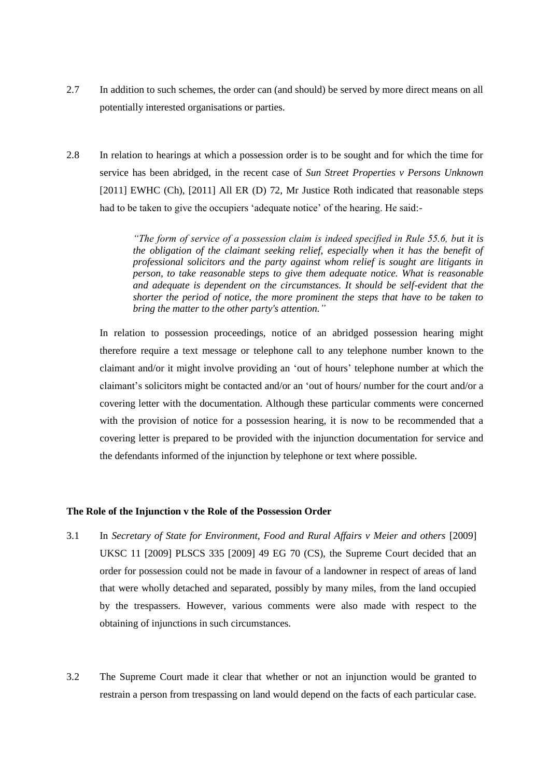- 2.7 In addition to such schemes, the order can (and should) be served by more direct means on all potentially interested organisations or parties.
- 2.8 In relation to hearings at which a possession order is to be sought and for which the time for service has been abridged, in the recent case of *Sun Street Properties v Persons Unknown*  [2011] EWHC (Ch), [2011] All ER (D) 72*,* Mr Justice Roth indicated that reasonable steps had to be taken to give the occupiers 'adequate notice' of the hearing. He said:-

*"The form of service of a possession claim is indeed specified in Rule 55.6, but it is the obligation of the claimant seeking relief, especially when it has the benefit of professional solicitors and the party against whom relief is sought are litigants in person, to take reasonable steps to give them adequate notice. What is reasonable and adequate is dependent on the circumstances. It should be self-evident that the shorter the period of notice, the more prominent the steps that have to be taken to bring the matter to the other party's attention."*

In relation to possession proceedings, notice of an abridged possession hearing might therefore require a text message or telephone call to any telephone number known to the claimant and/or it might involve providing an "out of hours" telephone number at which the claimant"s solicitors might be contacted and/or an "out of hours/ number for the court and/or a covering letter with the documentation. Although these particular comments were concerned with the provision of notice for a possession hearing, it is now to be recommended that a covering letter is prepared to be provided with the injunction documentation for service and the defendants informed of the injunction by telephone or text where possible.

## **The Role of the Injunction v the Role of the Possession Order**

- 3.1 In *Secretary of State for Environment, Food and Rural Affairs v Meier and others* [2009] UKSC 11 [2009] PLSCS 335 [2009] 49 EG 70 (CS), the Supreme Court decided that an order for possession could not be made in favour of a landowner in respect of areas of land that were wholly detached and separated, possibly by many miles, from the land occupied by the trespassers. However, various comments were also made with respect to the obtaining of injunctions in such circumstances.
- 3.2 The Supreme Court made it clear that whether or not an injunction would be granted to restrain a person from trespassing on land would depend on the facts of each particular case.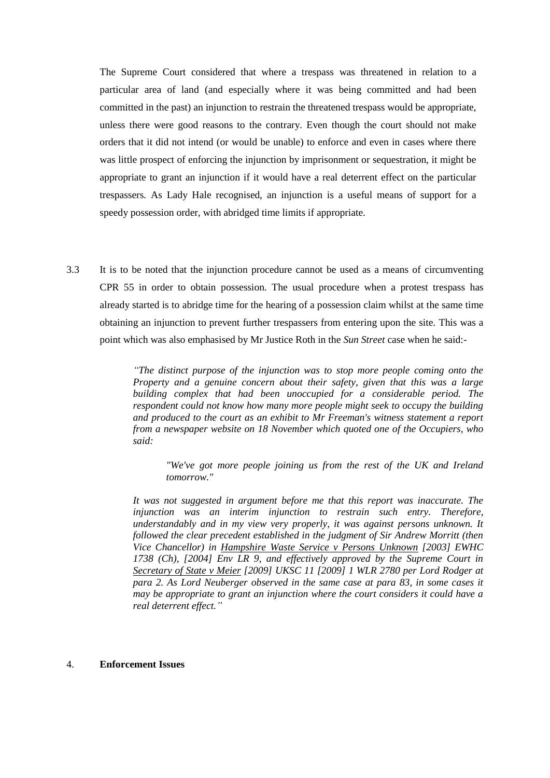The Supreme Court considered that where a trespass was threatened in relation to a particular area of land (and especially where it was being committed and had been committed in the past) an injunction to restrain the threatened trespass would be appropriate, unless there were good reasons to the contrary. Even though the court should not make orders that it did not intend (or would be unable) to enforce and even in cases where there was little prospect of enforcing the injunction by imprisonment or sequestration, it might be appropriate to grant an injunction if it would have a real deterrent effect on the particular trespassers. As Lady Hale recognised, an injunction is a useful means of support for a speedy possession order, with abridged time limits if appropriate.

3.3 It is to be noted that the injunction procedure cannot be used as a means of circumventing CPR 55 in order to obtain possession. The usual procedure when a protest trespass has already started is to abridge time for the hearing of a possession claim whilst at the same time obtaining an injunction to prevent further trespassers from entering upon the site. This was a point which was also emphasised by Mr Justice Roth in the *Sun Street* case when he said:-

> *"The distinct purpose of the injunction was to stop more people coming onto the Property and a genuine concern about their safety, given that this was a large building complex that had been unoccupied for a considerable period. The respondent could not know how many more people might seek to occupy the building and produced to the court as an exhibit to Mr Freeman's witness statement a report from a newspaper website on 18 November which quoted one of the Occupiers, who said:*

*"We've got more people joining us from the rest of the UK and Ireland tomorrow."* 

*It was not suggested in argument before me that this report was inaccurate. The injunction was an interim injunction to restrain such entry. Therefore, understandably and in my view very properly, it was against persons unknown. It followed the clear precedent established in the judgment of Sir Andrew Morritt (then Vice Chancellor) in Hampshire Waste Service v Persons Unknown [2003] EWHC 1738 (Ch), [2004] Env LR 9, and effectively approved by the Supreme Court in Secretary of State v Meier [2009] UKSC 11 [2009] 1 WLR 2780 per Lord Rodger at para 2. As Lord Neuberger observed in the same case at para 83, in some cases it may be appropriate to grant an injunction where the court considers it could have a real deterrent effect."*

#### 4. **Enforcement Issues**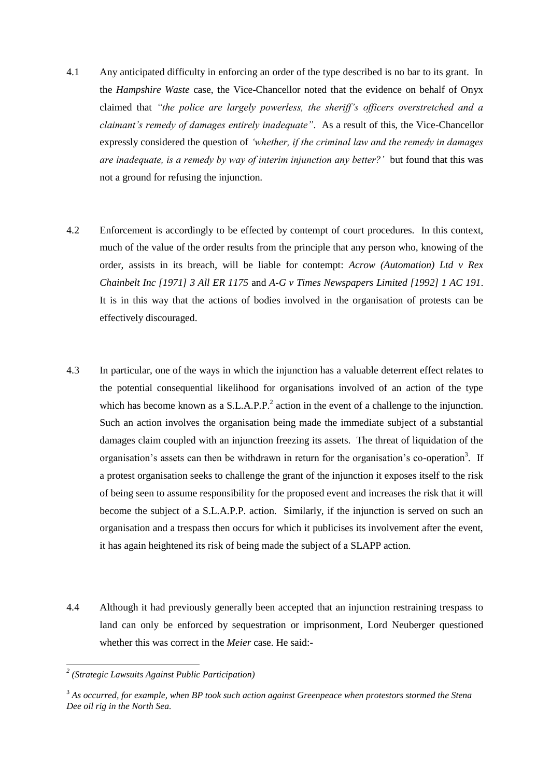- 4.1 Any anticipated difficulty in enforcing an order of the type described is no bar to its grant. In the *Hampshire Waste* case, the Vice-Chancellor noted that the evidence on behalf of Onyx claimed that *"the police are largely powerless, the sheriff"s officers overstretched and a claimant"s remedy of damages entirely inadequate"*. As a result of this, the Vice-Chancellor expressly considered the question of *"whether, if the criminal law and the remedy in damages are inadequate, is a remedy by way of interim injunction any better?"* but found that this was not a ground for refusing the injunction.
- 4.2 Enforcement is accordingly to be effected by contempt of court procedures. In this context, much of the value of the order results from the principle that any person who, knowing of the order, assists in its breach, will be liable for contempt: *Acrow (Automation) Ltd v Rex Chainbelt Inc [1971] 3 All ER 1175* and *A-G v Times Newspapers Limited [1992] 1 AC 191*. It is in this way that the actions of bodies involved in the organisation of protests can be effectively discouraged.
- 4.3 In particular, one of the ways in which the injunction has a valuable deterrent effect relates to the potential consequential likelihood for organisations involved of an action of the type which has become known as a  $S.L.A.P.P.<sup>2</sup>$  action in the event of a challenge to the injunction. Such an action involves the organisation being made the immediate subject of a substantial damages claim coupled with an injunction freezing its assets. The threat of liquidation of the organisation's assets can then be withdrawn in return for the organisation's co-operation<sup>3</sup>. If a protest organisation seeks to challenge the grant of the injunction it exposes itself to the risk of being seen to assume responsibility for the proposed event and increases the risk that it will become the subject of a S.L.A.P.P. action. Similarly, if the injunction is served on such an organisation and a trespass then occurs for which it publicises its involvement after the event, it has again heightened its risk of being made the subject of a SLAPP action.
- 4.4 Although it had previously generally been accepted that an injunction restraining trespass to land can only be enforced by sequestration or imprisonment, Lord Neuberger questioned whether this was correct in the *Meier* case. He said:-

**.** 

*<sup>2</sup> (Strategic Lawsuits Against Public Participation)*

<sup>3</sup> *As occurred, for example, when BP took such action against Greenpeace when protestors stormed the Stena Dee oil rig in the North Sea.*